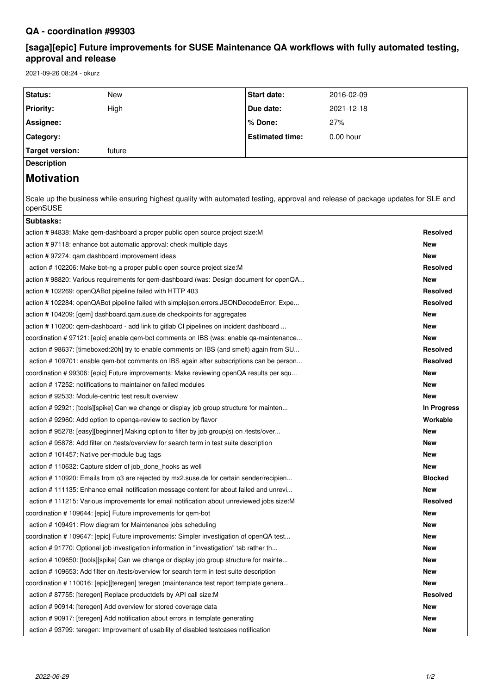# **QA - coordination #99303**

# **[saga][epic] Future improvements for SUSE Maintenance QA workflows with fully automated testing, approval and release**

2021-09-26 08:24 - okurz

| Status:                                                                                 | New                                                                                                                              | <b>Start date:</b>     | 2016-02-09 |                 |  |
|-----------------------------------------------------------------------------------------|----------------------------------------------------------------------------------------------------------------------------------|------------------------|------------|-----------------|--|
| <b>Priority:</b>                                                                        | High                                                                                                                             | Due date:              | 2021-12-18 |                 |  |
| Assignee:                                                                               |                                                                                                                                  | % Done:                | 27%        |                 |  |
| Category:                                                                               |                                                                                                                                  | <b>Estimated time:</b> | 0.00 hour  |                 |  |
| <b>Target version:</b>                                                                  | future                                                                                                                           |                        |            |                 |  |
| <b>Description</b>                                                                      |                                                                                                                                  |                        |            |                 |  |
| <b>Motivation</b>                                                                       |                                                                                                                                  |                        |            |                 |  |
|                                                                                         |                                                                                                                                  |                        |            |                 |  |
| openSUSE                                                                                | Scale up the business while ensuring highest quality with automated testing, approval and release of package updates for SLE and |                        |            |                 |  |
| Subtasks:                                                                               |                                                                                                                                  |                        |            |                 |  |
|                                                                                         | action # 94838: Make qem-dashboard a proper public open source project size:M                                                    |                        |            | <b>Resolved</b> |  |
| action #97118: enhance bot automatic approval: check multiple days                      |                                                                                                                                  |                        |            |                 |  |
| action #97274: qam dashboard improvement ideas                                          |                                                                                                                                  |                        |            |                 |  |
| action #102206: Make bot-ng a proper public open source project size: M                 |                                                                                                                                  |                        |            |                 |  |
| action # 98820: Various requirements for qem-dashboard (was: Design document for openQA |                                                                                                                                  |                        |            |                 |  |
| action # 102269: openQABot pipeline failed with HTTP 403                                |                                                                                                                                  |                        |            |                 |  |
| action #102284: openQABot pipeline failed with simplejson.errors.JSONDecodeError: Expe  |                                                                                                                                  |                        |            |                 |  |
| action #104209: [qem] dashboard.qam.suse.de checkpoints for aggregates                  |                                                                                                                                  |                        |            |                 |  |
| action #110200: gem-dashboard - add link to gitlab CI pipelines on incident dashboard   |                                                                                                                                  |                        |            |                 |  |
| coordination #97121: [epic] enable qem-bot comments on IBS (was: enable qa-maintenance  |                                                                                                                                  |                        |            |                 |  |
| action # 98637: [timeboxed:20h] try to enable comments on IBS (and smelt) again from SU |                                                                                                                                  |                        |            |                 |  |
| action #109701: enable gem-bot comments on IBS again after subscriptions can be person  | <b>Resolved</b>                                                                                                                  |                        |            |                 |  |
| coordination # 99306: [epic] Future improvements: Make reviewing openQA results per squ |                                                                                                                                  |                        |            |                 |  |
| action #17252: notifications to maintainer on failed modules                            |                                                                                                                                  |                        |            |                 |  |
|                                                                                         | action # 92533: Module-centric test result overview                                                                              |                        |            | <b>New</b>      |  |
| action #92921: [tools][spike] Can we change or display job group structure for mainten  |                                                                                                                                  |                        |            |                 |  |
| action # 92960: Add option to openga-review to section by flavor                        |                                                                                                                                  |                        |            |                 |  |
| action #95278: [easy][beginner] Making option to filter by job group(s) on /tests/over  |                                                                                                                                  |                        |            | <b>New</b>      |  |
| action #95878: Add filter on /tests/overview for search term in test suite description  |                                                                                                                                  |                        | <b>New</b> |                 |  |
| action # 101457: Native per-module bug tags                                             |                                                                                                                                  |                        |            | <b>New</b>      |  |
|                                                                                         | action #110632: Capture stderr of job done hooks as well                                                                         |                        |            | <b>New</b>      |  |
|                                                                                         | action #110920: Emails from o3 are rejected by mx2.suse.de for certain sender/recipien                                           |                        |            | <b>Blocked</b>  |  |
| action #111135: Enhance email notification message content for about failed and unrevi  |                                                                                                                                  |                        |            | New             |  |
|                                                                                         | action #111215: Various improvements for email notification about unreviewed jobs size: M                                        |                        |            | <b>Resolved</b> |  |
|                                                                                         | coordination #109644: [epic] Future improvements for gem-bot                                                                     |                        |            | <b>New</b>      |  |
|                                                                                         | action #109491: Flow diagram for Maintenance jobs scheduling                                                                     |                        |            | <b>New</b>      |  |
|                                                                                         | coordination # 109647: [epic] Future improvements: Simpler investigation of openQA test                                          |                        |            | <b>New</b>      |  |
|                                                                                         | action #91770: Optional job investigation information in "investigation" tab rather th                                           |                        |            | <b>New</b>      |  |
|                                                                                         | action #109650: [tools][spike] Can we change or display job group structure for mainte                                           |                        |            | <b>New</b>      |  |
|                                                                                         | action #109653: Add filter on /tests/overview for search term in test suite description                                          |                        |            | <b>New</b>      |  |
|                                                                                         | coordination #110016: [epic][teregen] teregen (maintenance test report template genera                                           |                        |            |                 |  |
|                                                                                         | action # 87755: [teregen] Replace productdefs by API call size: M                                                                |                        |            | <b>Resolved</b> |  |
|                                                                                         | action # 90914: [teregen] Add overview for stored coverage data                                                                  |                        |            | <b>New</b>      |  |
|                                                                                         | action #90917: [teregen] Add notification about errors in template generating                                                    |                        |            | <b>New</b>      |  |
|                                                                                         | action #93799: teregen: Improvement of usability of disabled testcases notification                                              |                        |            | <b>New</b>      |  |